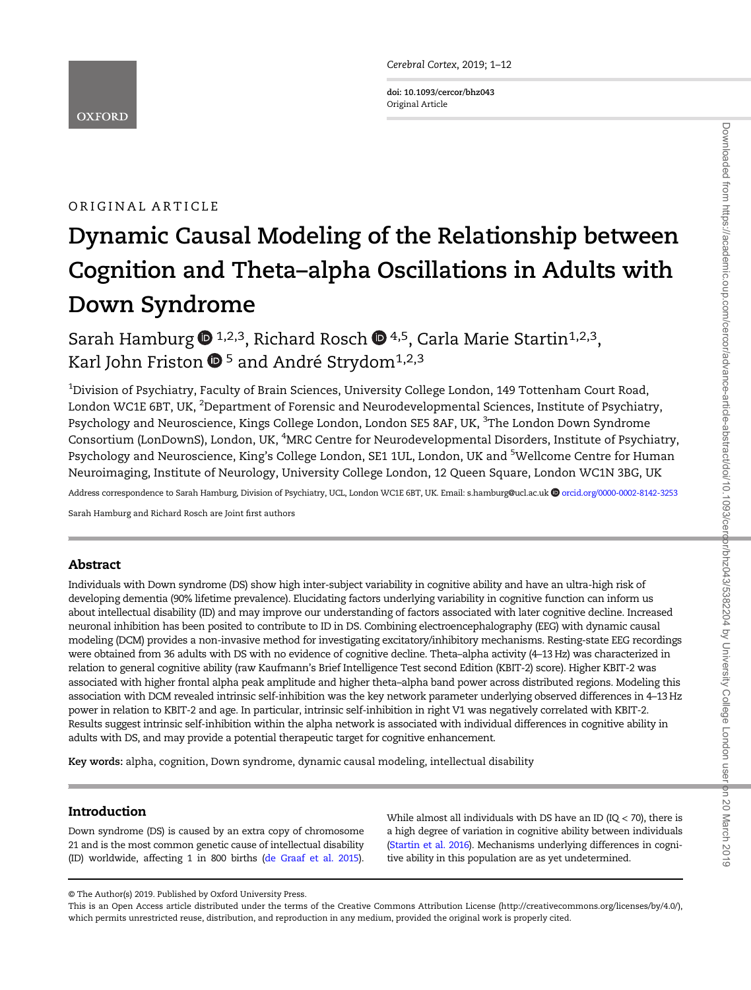Cerebral Cortex, 2019; 1–<sup>12</sup>

doi: 10.1093/cercor/bhz043 Original Article

# ORIGINAL ARTICLE

# Dynamic Causal Modeling of the Relationship between Cognition and Theta–alpha Oscillations in Adults with Down Syndrome

Sarah Hambur[g](http://orcid.org/0000-0002-8142-3253)  $\mathbf{D}^{1,2,3}$ , Richard Rosch  $\mathbf{D}^{4,5}$  $\mathbf{D}^{4,5}$  $\mathbf{D}^{4,5}$ , Carla Marie Startin<sup>1,2,3</sup>, Karl John Friston  $\mathbf{D}^5$  $\mathbf{D}^5$  and André Strydom<sup>1,2,3</sup>

 $^{\rm 1}$ Division of Psychiatry, Faculty of Brain Sciences, University College London, 149 Tottenham Court Road, London WC1E 6BT, UK, <sup>2</sup>Department of Forensic and Neurodevelopmental Sciences, Institute of Psychiatry, Psychology and Neuroscience, Kings College London, London SE5 8AF, UK, <sup>3</sup>The London Down Syndrome Consortium (LonDownS), London, UK, <sup>4</sup>MRC Centre for Neurodevelopmental Disorders, Institute of Psychiatry, Psychology and Neuroscience, King's College London, SE1 1UL, London, UK and <sup>5</sup>Wellcome Centre for Human Neuroimaging, Institute of Neurology, University College London, 12 Queen Square, London WC1N 3BG, UK

Address correspondence to Sarah Hamburg, Division of Psychiatry, UCL, London WC1E 6BT, UK. Email: s.hamburg@ucl.ac.u[k](http://orcid.org/0000-0002-8142-3253) @[orcid.org/0000-0002-8142-3253](http://orcid.org/0000-0002-8142-3253)

Sarah Hamburg and Richard Rosch are Joint first authors

# Abstract

Individuals with Down syndrome (DS) show high inter-subject variability in cognitive ability and have an ultra-high risk of developing dementia (90% lifetime prevalence). Elucidating factors underlying variability in cognitive function can inform us about intellectual disability (ID) and may improve our understanding of factors associated with later cognitive decline. Increased neuronal inhibition has been posited to contribute to ID in DS. Combining electroencephalography (EEG) with dynamic causal modeling (DCM) provides a non-invasive method for investigating excitatory/inhibitory mechanisms. Resting-state EEG recordings were obtained from 36 adults with DS with no evidence of cognitive decline. Theta–alpha activity (4–13 Hz) was characterized in relation to general cognitive ability (raw Kaufmann's Brief Intelligence Test second Edition (KBIT-2) score). Higher KBIT-2 was associated with higher frontal alpha peak amplitude and higher theta–alpha band power across distributed regions. Modeling this association with DCM revealed intrinsic self-inhibition was the key network parameter underlying observed differences in 4–13 Hz power in relation to KBIT-2 and age. In particular, intrinsic self-inhibition in right V1 was negatively correlated with KBIT-2. Results suggest intrinsic self-inhibition within the alpha network is associated with individual differences in cognitive ability in adults with DS, and may provide a potential therapeutic target for cognitive enhancement.

Key words: alpha, cognition, Down syndrome, dynamic causal modeling, intellectual disability

# Introduction

Down syndrome (DS) is caused by an extra copy of chromosome 21 and is the most common genetic cause of intellectual disability (ID) worldwide, affecting 1 in 800 births ([de Graaf et al. 2015\)](#page-9-0).

While almost all individuals with DS have an ID ( $IQ < 70$ ), there is a high degree of variation in cognitive ability between individuals [\(Startin et al. 2016\)](#page-11-0). Mechanisms underlying differences in cognitive ability in this population are as yet undetermined.

<sup>©</sup> The Author(s) 2019. Published by Oxford University Press.

This is an Open Access article distributed under the terms of the Creative Commons Attribution License [\(http://creativecommons.org/licenses/by/4.0/](http://creativecommons.org/licenses/by/4.0/)), which permits unrestricted reuse, distribution, and reproduction in any medium, provided the original work is properly cited.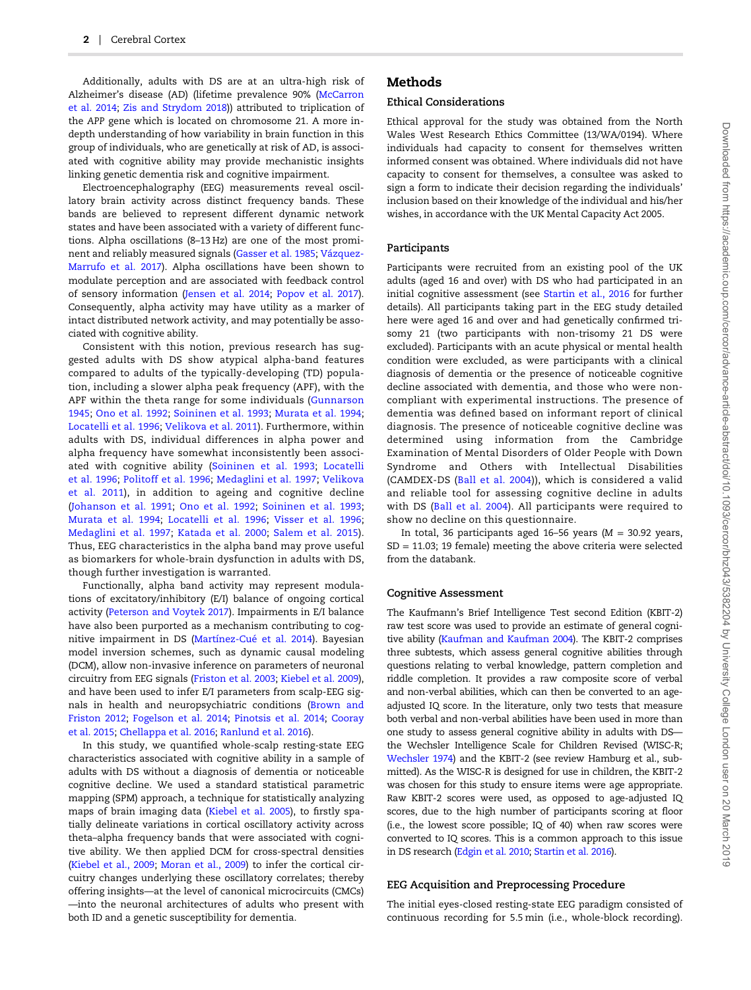Additionally, adults with DS are at an ultra-high risk of Alzheimer's disease (AD) (lifetime prevalence 90% [\(McCarron](#page-10-0) [et al. 2014](#page-10-0); [Zis and Strydom 2018](#page-11-0))) attributed to triplication of the APP gene which is located on chromosome 21. A more indepth understanding of how variability in brain function in this group of individuals, who are genetically at risk of AD, is associated with cognitive ability may provide mechanistic insights linking genetic dementia risk and cognitive impairment.

Electroencephalography (EEG) measurements reveal oscillatory brain activity across distinct frequency bands. These bands are believed to represent different dynamic network states and have been associated with a variety of different functions. Alpha oscillations (8–13 Hz) are one of the most prominent and reliably measured signals ([Gasser et al. 1985;](#page-9-0) [Vázquez-](#page-11-0)[Marrufo et al. 2017\)](#page-11-0). Alpha oscillations have been shown to modulate perception and are associated with feedback control of sensory information [\(Jensen et al. 2014](#page-10-0); [Popov et al. 2017\)](#page-10-0). Consequently, alpha activity may have utility as a marker of intact distributed network activity, and may potentially be associated with cognitive ability.

Consistent with this notion, previous research has suggested adults with DS show atypical alpha-band features compared to adults of the typically-developing (TD) population, including a slower alpha peak frequency (APF), with the APF within the theta range for some individuals ([Gunnarson](#page-10-0) [1945](#page-10-0); [Ono et al. 1992;](#page-10-0) [Soininen et al. 1993;](#page-11-0) [Murata et al. 1994;](#page-10-0) [Locatelli et al. 1996](#page-10-0); [Velikova et al. 2011\)](#page-11-0). Furthermore, within adults with DS, individual differences in alpha power and alpha frequency have somewhat inconsistently been associated with cognitive ability ([Soininen et al. 1993](#page-11-0); [Locatelli](#page-10-0) [et al. 1996;](#page-10-0) [Politoff et al. 1996;](#page-10-0) [Medaglini et al. 1997](#page-10-0); [Velikova](#page-11-0) [et al. 2011](#page-11-0)), in addition to ageing and cognitive decline ([Johanson et al. 1991](#page-10-0); [Ono et al. 1992;](#page-10-0) [Soininen et al. 1993;](#page-11-0) [Murata et al. 1994;](#page-10-0) [Locatelli et al. 1996;](#page-10-0) [Visser et al. 1996;](#page-11-0) [Medaglini et al. 1997](#page-10-0); [Katada et al. 2000;](#page-10-0) [Salem et al. 2015](#page-11-0)). Thus, EEG characteristics in the alpha band may prove useful as biomarkers for whole-brain dysfunction in adults with DS, though further investigation is warranted.

Functionally, alpha band activity may represent modulations of excitatory/inhibitory (E/I) balance of ongoing cortical activity ([Peterson and Voytek 2017](#page-10-0)). Impairments in E/I balance have also been purported as a mechanism contributing to cognitive impairment in DS ([Martínez-Cué et al. 2014](#page-10-0)). Bayesian model inversion schemes, such as dynamic causal modeling (DCM), allow non-invasive inference on parameters of neuronal circuitry from EEG signals [\(Friston et al. 2003;](#page-9-0) [Kiebel et al. 2009\)](#page-10-0), and have been used to infer E/I parameters from scalp-EEG signals in health and neuropsychiatric conditions ([Brown and](#page-9-0) [Friston 2012;](#page-9-0) [Fogelson et al. 2014](#page-9-0); [Pinotsis et al. 2014;](#page-10-0) [Cooray](#page-9-0) [et al. 2015](#page-9-0); [Chellappa et al. 2016](#page-9-0); [Ranlund et al. 2016\)](#page-10-0).

In this study, we quantified whole-scalp resting-state EEG characteristics associated with cognitive ability in a sample of adults with DS without a diagnosis of dementia or noticeable cognitive decline. We used a standard statistical parametric mapping (SPM) approach, a technique for statistically analyzing maps of brain imaging data [\(Kiebel et al. 2005\)](#page-10-0), to firstly spatially delineate variations in cortical oscillatory activity across theta–alpha frequency bands that were associated with cognitive ability. We then applied DCM for cross-spectral densities [\(Kiebel et al., 2009](#page-10-0); [Moran et al., 2009](#page-10-0)) to infer the cortical circuitry changes underlying these oscillatory correlates; thereby offering insights—at the level of canonical microcircuits (CMCs) —into the neuronal architectures of adults who present with both ID and a genetic susceptibility for dementia.

# Methods

## Ethical Considerations

Ethical approval for the study was obtained from the North Wales West Research Ethics Committee (13/WA/0194). Where individuals had capacity to consent for themselves written informed consent was obtained. Where individuals did not have capacity to consent for themselves, a consultee was asked to sign a form to indicate their decision regarding the individuals' inclusion based on their knowledge of the individual and his/her wishes, in accordance with the UK Mental Capacity Act 2005.

#### Participants

Participants were recruited from an existing pool of the UK adults (aged 16 and over) with DS who had participated in an initial cognitive assessment (see [Startin et al., 2016](#page-11-0) for further details). All participants taking part in the EEG study detailed here were aged 16 and over and had genetically confirmed trisomy 21 (two participants with non-trisomy 21 DS were excluded). Participants with an acute physical or mental health condition were excluded, as were participants with a clinical diagnosis of dementia or the presence of noticeable cognitive decline associated with dementia, and those who were noncompliant with experimental instructions. The presence of dementia was defined based on informant report of clinical diagnosis. The presence of noticeable cognitive decline was determined using information from the Cambridge Examination of Mental Disorders of Older People with Down Syndrome and Others with Intellectual Disabilities (CAMDEX-DS ([Ball et al. 2004](#page-9-0))), which is considered a valid and reliable tool for assessing cognitive decline in adults with DS ([Ball et al. 2004\)](#page-9-0). All participants were required to show no decline on this questionnaire.

In total, 36 participants aged 16-56 years ( $M = 30.92$  years, SD = 11.03; 19 female) meeting the above criteria were selected from the databank.

#### Cognitive Assessment

The Kaufmann's Brief Intelligence Test second Edition (KBIT-2) raw test score was used to provide an estimate of general cognitive ability [\(Kaufman and Kaufman 2004](#page-10-0)). The KBIT-2 comprises three subtests, which assess general cognitive abilities through questions relating to verbal knowledge, pattern completion and riddle completion. It provides a raw composite score of verbal and non-verbal abilities, which can then be converted to an ageadjusted IQ score. In the literature, only two tests that measure both verbal and non-verbal abilities have been used in more than one study to assess general cognitive ability in adults with DS the Wechsler Intelligence Scale for Children Revised (WISC-R; [Wechsler 1974](#page-11-0)) and the KBIT-2 (see review Hamburg et al., submitted). As the WISC-R is designed for use in children, the KBIT-2 was chosen for this study to ensure items were age appropriate. Raw KBIT-2 scores were used, as opposed to age-adjusted IQ scores, due to the high number of participants scoring at floor (i.e., the lowest score possible; IQ of 40) when raw scores were converted to IQ scores. This is a common approach to this issue in DS research [\(Edgin et al. 2010](#page-9-0); [Startin et al. 2016\)](#page-11-0).

#### EEG Acquisition and Preprocessing Procedure

The initial eyes-closed resting-state EEG paradigm consisted of continuous recording for 5.5 min (i.e., whole-block recording).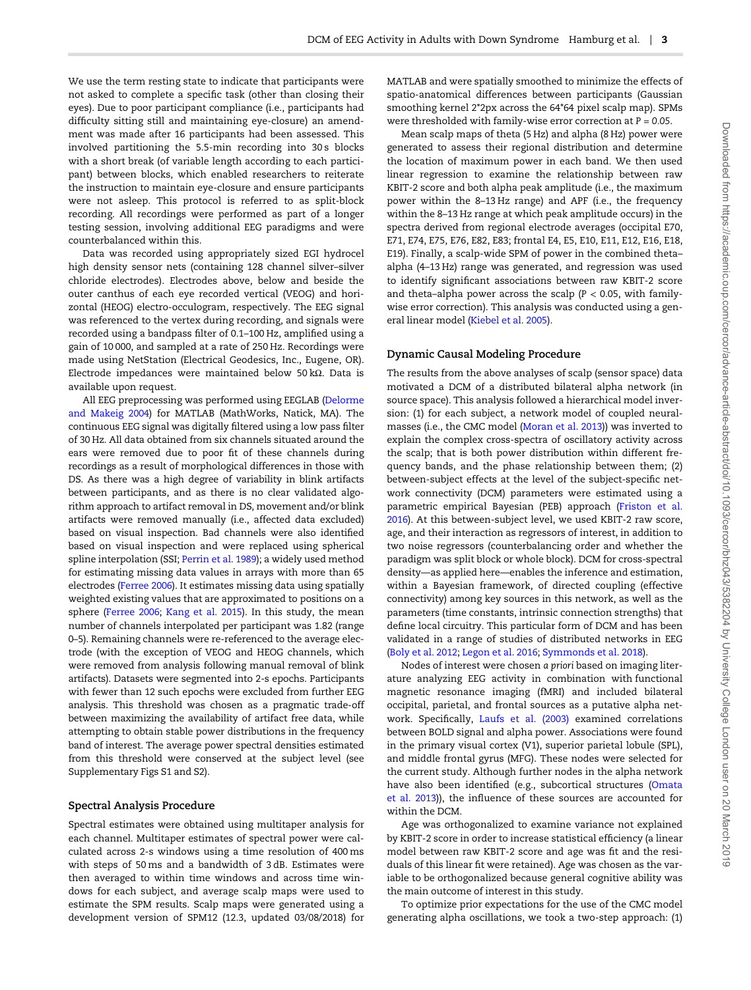We use the term resting state to indicate that participants were not asked to complete a specific task (other than closing their eyes). Due to poor participant compliance (i.e., participants had difficulty sitting still and maintaining eye-closure) an amendment was made after 16 participants had been assessed. This involved partitioning the 5.5-min recording into 30s blocks with a short break (of variable length according to each participant) between blocks, which enabled researchers to reiterate the instruction to maintain eye-closure and ensure participants were not asleep. This protocol is referred to as split-block recording. All recordings were performed as part of a longer testing session, involving additional EEG paradigms and were counterbalanced within this.

Data was recorded using appropriately sized EGI hydrocel high density sensor nets (containing 128 channel silver–silver chloride electrodes). Electrodes above, below and beside the outer canthus of each eye recorded vertical (VEOG) and horizontal (HEOG) electro-occulogram, respectively. The EEG signal was referenced to the vertex during recording, and signals were recorded using a bandpass filter of 0.1–100 Hz, amplified using a gain of 10 000, and sampled at a rate of 250 Hz. Recordings were made using NetStation (Electrical Geodesics, Inc., Eugene, OR). Electrode impedances were maintained below 50 kΩ. Data is available upon request.

All EEG preprocessing was performed using EEGLAB [\(Delorme](#page-9-0) [and Makeig 2004\)](#page-9-0) for MATLAB (MathWorks, Natick, MA). The continuous EEG signal was digitally filtered using a low pass filter of 30 Hz. All data obtained from six channels situated around the ears were removed due to poor fit of these channels during recordings as a result of morphological differences in those with DS. As there was a high degree of variability in blink artifacts between participants, and as there is no clear validated algorithm approach to artifact removal in DS, movement and/or blink artifacts were removed manually (i.e., affected data excluded) based on visual inspection. Bad channels were also identified based on visual inspection and were replaced using spherical spline interpolation (SSI; [Perrin et al. 1989\)](#page-10-0); a widely used method for estimating missing data values in arrays with more than 65 electrodes [\(Ferree 2006](#page-9-0)). It estimates missing data using spatially weighted existing values that are approximated to positions on a sphere [\(Ferree 2006](#page-9-0); [Kang et al. 2015](#page-10-0)). In this study, the mean number of channels interpolated per participant was 1.82 (range 0–5). Remaining channels were re-referenced to the average electrode (with the exception of VEOG and HEOG channels, which were removed from analysis following manual removal of blink artifacts). Datasets were segmented into 2-s epochs. Participants with fewer than 12 such epochs were excluded from further EEG analysis. This threshold was chosen as a pragmatic trade-off between maximizing the availability of artifact free data, while attempting to obtain stable power distributions in the frequency band of interest. The average power spectral densities estimated from this threshold were conserved at the subject level (see Supplementary Figs S1 and S2).

## Spectral Analysis Procedure

Spectral estimates were obtained using multitaper analysis for each channel. Multitaper estimates of spectral power were calculated across 2-s windows using a time resolution of 400 ms with steps of 50 ms and a bandwidth of 3 dB. Estimates were then averaged to within time windows and across time windows for each subject, and average scalp maps were used to estimate the SPM results. Scalp maps were generated using a development version of SPM12 (12.3, updated 03/08/2018) for

MATLAB and were spatially smoothed to minimize the effects of spatio-anatomical differences between participants (Gaussian smoothing kernel 2\*2px across the 64\*64 pixel scalp map). SPMs were thresholded with family-wise error correction at  $P = 0.05$ .

Mean scalp maps of theta (5 Hz) and alpha (8 Hz) power were generated to assess their regional distribution and determine the location of maximum power in each band. We then used linear regression to examine the relationship between raw KBIT-2 score and both alpha peak amplitude (i.e., the maximum power within the 8–13 Hz range) and APF (i.e., the frequency within the 8–13 Hz range at which peak amplitude occurs) in the spectra derived from regional electrode averages (occipital E70, E71, E74, E75, E76, E82, E83; frontal E4, E5, E10, E11, E12, E16, E18, E19). Finally, a scalp-wide SPM of power in the combined theta– alpha (4–13 Hz) range was generated, and regression was used to identify significant associations between raw KBIT-2 score and theta–alpha power across the scalp  $(P < 0.05$ , with familywise error correction). This analysis was conducted using a general linear model [\(Kiebel et al. 2005\)](#page-10-0).

#### Dynamic Causal Modeling Procedure

The results from the above analyses of scalp (sensor space) data motivated a DCM of a distributed bilateral alpha network (in source space). This analysis followed a hierarchical model inversion: (1) for each subject, a network model of coupled neuralmasses (i.e., the CMC model ([Moran et al. 2013](#page-10-0))) was inverted to explain the complex cross-spectra of oscillatory activity across the scalp; that is both power distribution within different frequency bands, and the phase relationship between them; (2) between-subject effects at the level of the subject-specific network connectivity (DCM) parameters were estimated using a parametric empirical Bayesian (PEB) approach ([Friston et al.](#page-9-0) [2016\)](#page-9-0). At this between-subject level, we used KBIT-2 raw score, age, and their interaction as regressors of interest, in addition to two noise regressors (counterbalancing order and whether the paradigm was split block or whole block). DCM for cross-spectral density—as applied here—enables the inference and estimation, within a Bayesian framework, of directed coupling (effective connectivity) among key sources in this network, as well as the parameters (time constants, intrinsic connection strengths) that define local circuitry. This particular form of DCM and has been validated in a range of studies of distributed networks in EEG [\(Boly et al. 2012;](#page-9-0) [Legon et al. 2016](#page-10-0); [Symmonds et al. 2018](#page-11-0)).

Nodes of interest were chosen a priori based on imaging literature analyzing EEG activity in combination with functional magnetic resonance imaging (fMRI) and included bilateral occipital, parietal, and frontal sources as a putative alpha network. Specifically, [Laufs et al. \(2003\)](#page-10-0) examined correlations between BOLD signal and alpha power. Associations were found in the primary visual cortex (V1), superior parietal lobule (SPL), and middle frontal gyrus (MFG). These nodes were selected for the current study. Although further nodes in the alpha network have also been identified (e.g., subcortical structures [\(Omata](#page-10-0) [et al. 2013](#page-10-0))), the influence of these sources are accounted for within the DCM.

Age was orthogonalized to examine variance not explained by KBIT-2 score in order to increase statistical efficiency (a linear model between raw KBIT-2 score and age was fit and the residuals of this linear fit were retained). Age was chosen as the variable to be orthogonalized because general cognitive ability was the main outcome of interest in this study.

To optimize prior expectations for the use of the CMC model generating alpha oscillations, we took a two-step approach: (1)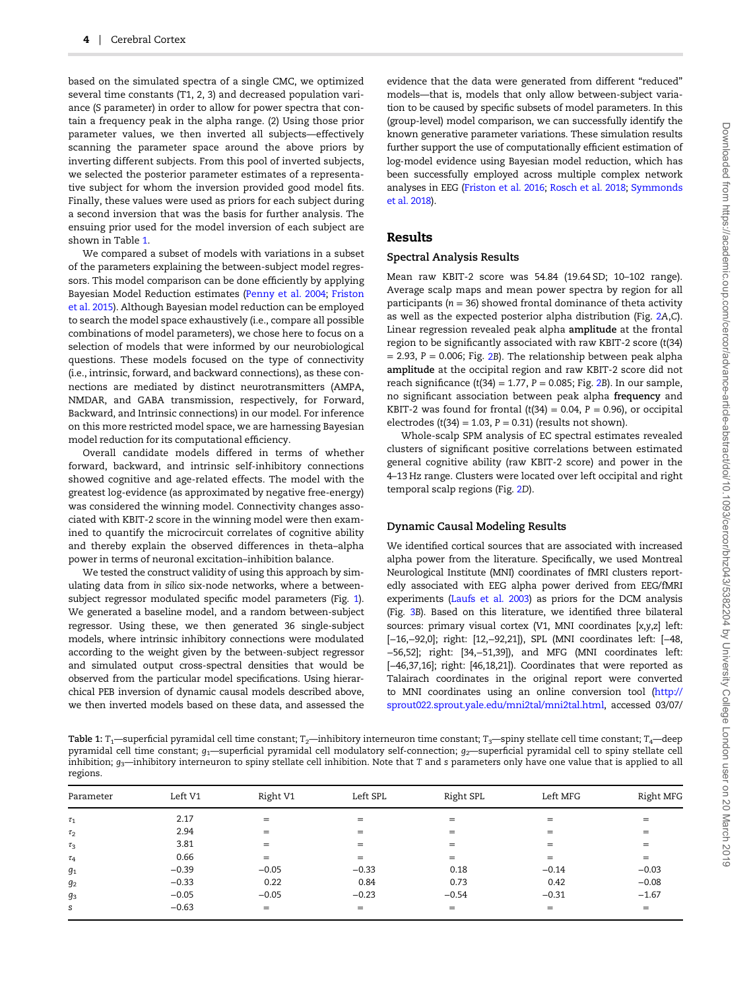based on the simulated spectra of a single CMC, we optimized several time constants (T1, 2, 3) and decreased population variance (S parameter) in order to allow for power spectra that contain a frequency peak in the alpha range. (2) Using those prior parameter values, we then inverted all subjects—effectively scanning the parameter space around the above priors by inverting different subjects. From this pool of inverted subjects, we selected the posterior parameter estimates of a representative subject for whom the inversion provided good model fits. Finally, these values were used as priors for each subject during a second inversion that was the basis for further analysis. The ensuing prior used for the model inversion of each subject are shown in Table 1.

We compared a subset of models with variations in a subset of the parameters explaining the between-subject model regressors. This model comparison can be done efficiently by applying Bayesian Model Reduction estimates ([Penny et al. 2004;](#page-10-0) [Friston](#page-9-0) [et al. 2015\)](#page-9-0). Although Bayesian model reduction can be employed to search the model space exhaustively (i.e., compare all possible combinations of model parameters), we chose here to focus on a selection of models that were informed by our neurobiological questions. These models focused on the type of connectivity (i.e., intrinsic, forward, and backward connections), as these connections are mediated by distinct neurotransmitters (AMPA, NMDAR, and GABA transmission, respectively, for Forward, Backward, and Intrinsic connections) in our model. For inference on this more restricted model space, we are harnessing Bayesian model reduction for its computational efficiency.

Overall candidate models differed in terms of whether forward, backward, and intrinsic self-inhibitory connections showed cognitive and age-related effects. The model with the greatest log-evidence (as approximated by negative free-energy) was considered the winning model. Connectivity changes associated with KBIT-2 score in the winning model were then examined to quantify the microcircuit correlates of cognitive ability and thereby explain the observed differences in theta–alpha power in terms of neuronal excitation–inhibition balance.

We tested the construct validity of using this approach by simulating data from in silico six-node networks, where a betweensubject regressor modulated specific model parameters (Fig. [1\)](#page-4-0). We generated a baseline model, and a random between-subject regressor. Using these, we then generated 36 single-subject models, where intrinsic inhibitory connections were modulated according to the weight given by the between-subject regressor and simulated output cross-spectral densities that would be observed from the particular model specifications. Using hierarchical PEB inversion of dynamic causal models described above, we then inverted models based on these data, and assessed the

evidence that the data were generated from different "reduced" models—that is, models that only allow between-subject variation to be caused by specific subsets of model parameters. In this (group-level) model comparison, we can successfully identify the known generative parameter variations. These simulation results further support the use of computationally efficient estimation of log-model evidence using Bayesian model reduction, which has been successfully employed across multiple complex network analyses in EEG [\(Friston et al. 2016;](#page-9-0) [Rosch et al. 2018;](#page-11-0) [Symmonds](#page-11-0) [et al. 2018\)](#page-11-0).

## Results

#### Spectral Analysis Results

Mean raw KBIT-2 score was 54.84 (19.64 SD; 10–102 range). Average scalp maps and mean power spectra by region for all participants ( $n = 36$ ) showed frontal dominance of theta activity as well as the expected posterior alpha distribution (Fig. [2](#page-4-0)A,C). Linear regression revealed peak alpha amplitude at the frontal region to be significantly associated with raw KBIT-2 score (t(34)  $= 2.93$  $= 2.93$  $= 2.93$ ,  $P = 0.006$ ; Fig. 2B). The relationship between peak alpha amplitude at the occipital region and raw KBIT-2 score did not reach significance (t(34) = 1.77,  $P = 0.085$ ; Fig. [2](#page-4-0)B). In our sample, no significant association between peak alpha frequency and KBIT-2 was found for frontal  $(t(34) = 0.04, P = 0.96)$ , or occipital electrodes (t(34) = 1.03,  $P = 0.31$ ) (results not shown).

Whole-scalp SPM analysis of EC spectral estimates revealed clusters of significant positive correlations between estimated general cognitive ability (raw KBIT-2 score) and power in the 4–13 Hz range. Clusters were located over left occipital and right temporal scalp regions (Fig. [2](#page-4-0)D).

#### Dynamic Causal Modeling Results

We identified cortical sources that are associated with increased alpha power from the literature. Specifically, we used Montreal Neurological Institute (MNI) coordinates of fMRI clusters reportedly associated with EEG alpha power derived from EEG/fMRI experiments ([Laufs et al. 2003](#page-10-0)) as priors for the DCM analysis (Fig. [3](#page-5-0)B). Based on this literature, we identified three bilateral sources: primary visual cortex (V1, MNI coordinates [x,y,z] left: [−16,−92,0]; right: [12,−92,21]), SPL (MNI coordinates left: [−48, −56,52]; right: [34,−51,39]), and MFG (MNI coordinates left: [−46,37,16]; right: [46,18,21]). Coordinates that were reported as Talairach coordinates in the original report were converted to MNI coordinates using an online conversion tool ([http://](http://sprout022.sprout.yale.edu/mni2tal/mni2tal.html) [sprout022.sprout.yale.edu/mni2tal/mni2tal.html,](http://sprout022.sprout.yale.edu/mni2tal/mni2tal.html) accessed 03/07/

Table 1:  $T_1$ —superficial pyramidal cell time constant; T<sub>2</sub>—inhibitory interneuron time constant; T<sub>3</sub>—spiny stellate cell time constant; T<sub>4</sub>—deep pyramidal cell time constant;  $g_1$ —superficial pyramidal cell modulatory self-connection;  $g_2$ —superficial pyramidal cell to spiny stellate cell inhibition;  $g_3$ —inhibitory interneuron to spiny stellate cell inhibition. Note that T and s parameters only have one value that is applied to all regions.

| Parameter | Left V1 | Right V1 | Left SPL | Right SPL | Left MFG | Right MFG |
|-----------|---------|----------|----------|-----------|----------|-----------|
| $\tau_1$  | 2.17    | $=$      | $=$      | $=$       | $=$      | $=$       |
| $\tau_2$  | 2.94    | $=$      | $=$      | $=$       | $=$      | $=$       |
| $\tau_3$  | 3.81    | $=$      | $=$      | $=$       | $=$      | $=$       |
| $\tau_4$  | 0.66    | $=$      | $=$      | $=$       | $=$      | $=$       |
| $g_1$     | $-0.39$ | $-0.05$  | $-0.33$  | 0.18      | $-0.14$  | $-0.03$   |
| $g_2$     | $-0.33$ | 0.22     | 0.84     | 0.73      | 0.42     | $-0.08$   |
| $g_3$     | $-0.05$ | $-0.05$  | $-0.23$  | $-0.54$   | $-0.31$  | $-1.67$   |
| s         | $-0.63$ | $=$      | $=$      | $=$       | $=$      | $=$       |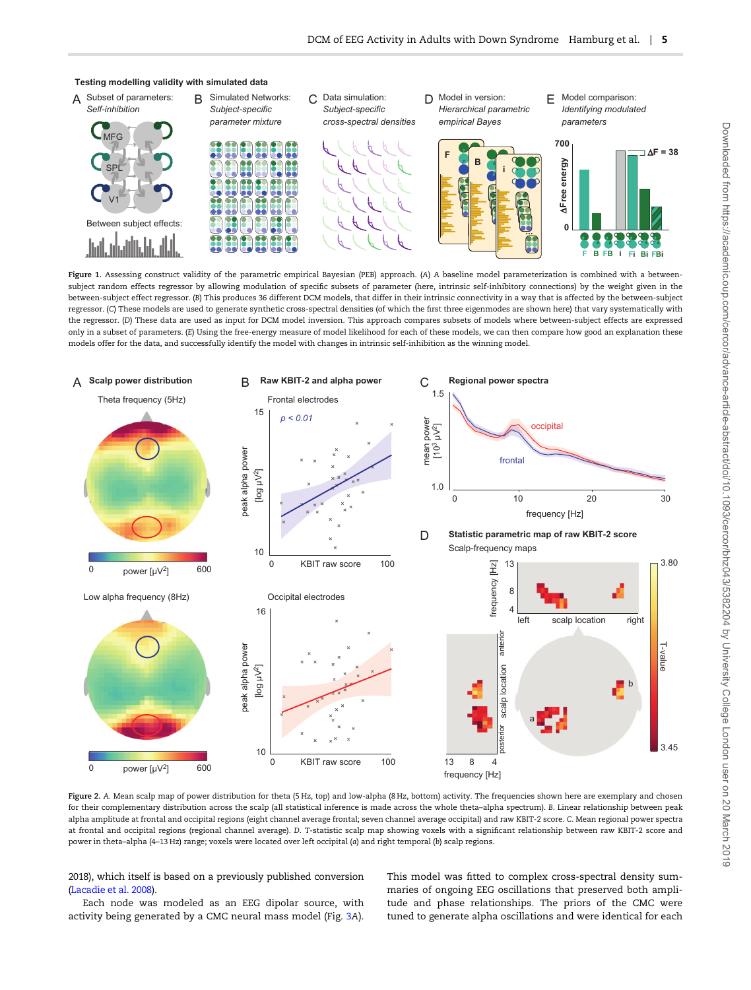<span id="page-4-0"></span>

Figure 1. Assessing construct validity of the parametric empirical Bayesian (PEB) approach. (A) A baseline model parameterization is combined with a betweensubject random effects regressor by allowing modulation of specific subsets of parameter (here, intrinsic self-inhibitory connections) by the weight given in the between-subject effect regressor. (B) This produces 36 different DCM models, that differ in their intrinsic connectivity in a way that is affected by the between-subject regressor. (C) These models are used to generate synthetic cross-spectral densities (of which the first three eigenmodes are shown here) that vary systematically with the regressor. (D) These data are used as input for DCM model inversion. This approach compares subsets of models where between-subject effects are expressed only in a subset of parameters. (E) Using the free-energy measure of model likelihood for each of these models, we can then compare how good an explanation these models offer for the data, and successfully identify the model with changes in intrinsic self-inhibition as the winning model.



Figure 2. A. Mean scalp map of power distribution for theta (5 Hz, top) and low-alpha (8 Hz, bottom) activity. The frequencies shown here are exemplary and chosen for their complementary distribution across the scalp (all statistical inference is made across the whole theta–alpha spectrum). B. Linear relationship between peak alpha amplitude at frontal and occipital regions (eight channel average frontal; seven channel average occipital) and raw KBIT-2 score. C. Mean regional power spectra at frontal and occipital regions (regional channel average). D. T-statistic scalp map showing voxels with a significant relationship between raw KBIT-2 score and power in theta–alpha (4–13 Hz) range; voxels were located over left occipital (a) and right temporal (b) scalp regions.

2018), which itself is based on a previously published conversion [\(Lacadie et al. 2008](#page-10-0)).

Each node was modeled as an EEG dipolar source, with activity being generated by a CMC neural mass model (Fig. [3](#page-5-0)A). This model was fitted to complex cross-spectral density summaries of ongoing EEG oscillations that preserved both amplitude and phase relationships. The priors of the CMC were tuned to generate alpha oscillations and were identical for each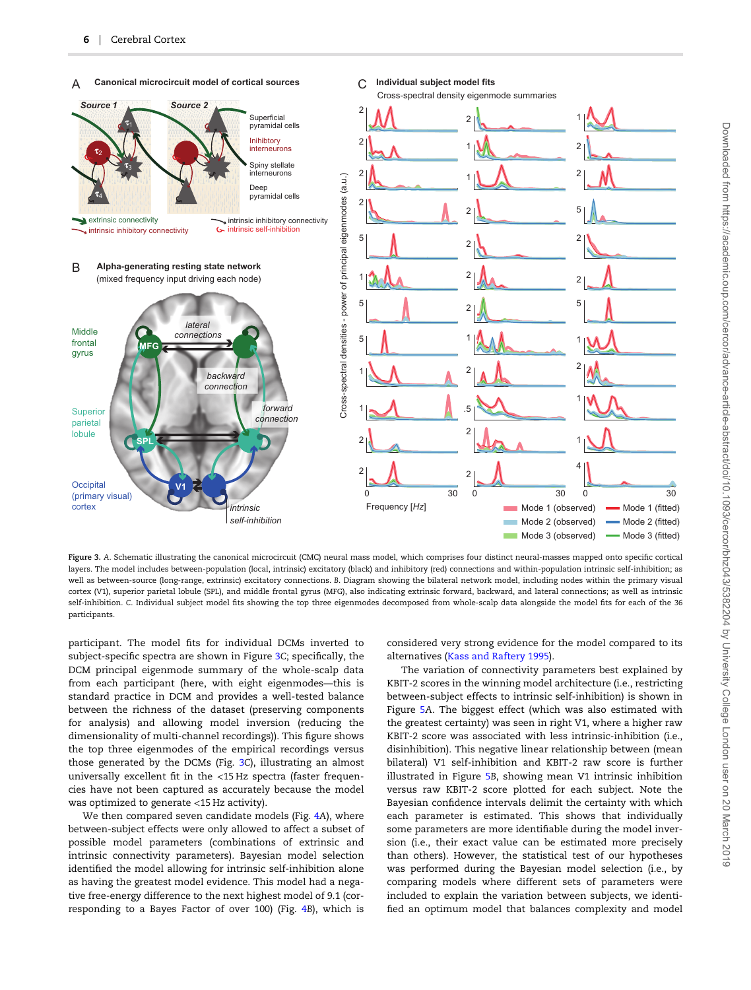<span id="page-5-0"></span>

Figure 3. A. Schematic illustrating the canonical microcircuit (CMC) neural mass model, which comprises four distinct neural-masses mapped onto specific cortical layers. The model includes between-population (local, intrinsic) excitatory (black) and inhibitory (red) connections and within-population intrinsic self-inhibition; as well as between-source (long-range, extrinsic) excitatory connections. B. Diagram showing the bilateral network model, including nodes within the primary visual cortex (V1), superior parietal lobule (SPL), and middle frontal gyrus (MFG), also indicating extrinsic forward, backward, and lateral connections; as well as intrinsic self-inhibition. C. Individual subject model fits showing the top three eigenmodes decomposed from whole-scalp data alongside the model fits for each of the 36 participants.

participant. The model fits for individual DCMs inverted to subject-specific spectra are shown in Figure <sup>3</sup>C; specifically, the DCM principal eigenmode summary of the whole-scalp data from each participant (here, with eight eigenmodes—this is standard practice in DCM and provides a well-tested balance between the richness of the dataset (preserving components for analysis) and allowing model inversion (reducing the dimensionality of multi-channel recordings)). This figure shows the top three eigenmodes of the empirical recordings versus those generated by the DCMs (Fig. <sup>3</sup>C), illustrating an almost universally excellent fit in the <15 Hz spectra (faster frequencies have not been captured as accurately because the model was optimized to generate <15 Hz activity).

We then compared seven candidate models (Fig. [4](#page-6-0)A), where between-subject effects were only allowed to affect a subset of possible model parameters (combinations of extrinsic and intrinsic connectivity parameters). Bayesian model selection identified the model allowing for intrinsic self-inhibition alone as having the greatest model evidence. This model had a negative free-energy difference to the next highest model of 9.1 (corresponding to a Bayes Factor of over 100) (Fig. [4](#page-6-0)B), which is

considered very strong evidence for the model compared to its alternatives [\(Kass and Raftery 1995](#page-10-0)).

The variation of connectivity parameters best explained by KBIT-2 scores in the winning model architecture (i.e., restricting between-subject effects to intrinsic self-inhibition) is shown in Figure [5](#page-6-0)A. The biggest effect (which was also estimated with the greatest certainty) was seen in right V1, where a higher raw KBIT-2 score was associated with less intrinsic-inhibition (i.e., disinhibition). This negative linear relationship between (mean bilateral) V1 self-inhibition and KBIT-2 raw score is further illustrated in Figure [5](#page-6-0)B, showing mean V1 intrinsic inhibition versus raw KBIT-2 score plotted for each subject. Note the Bayesian confidence intervals delimit the certainty with which each parameter is estimated. This shows that individually some parameters are more identifiable during the model inversion (i.e., their exact value can be estimated more precisely than others). However, the statistical test of our hypotheses was performed during the Bayesian model selection (i.e., by comparing models where different sets of parameters were included to explain the variation between subjects, we identified an optimum model that balances complexity and model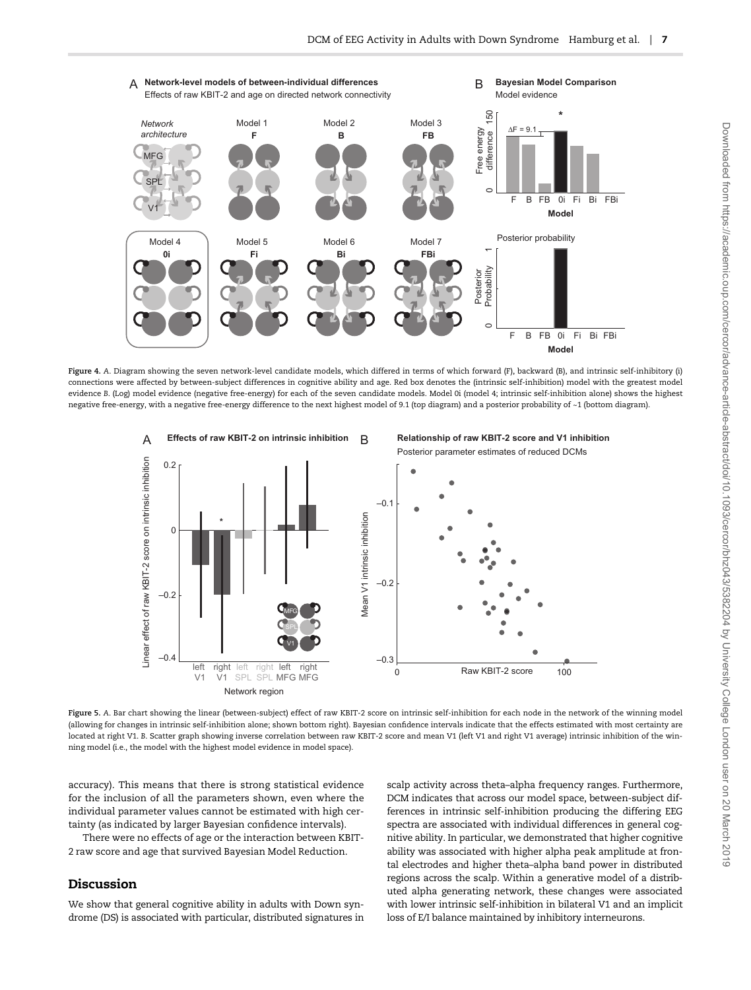<span id="page-6-0"></span>

Figure 4. A. Diagram showing the seven network-level candidate models, which differed in terms of which forward (F), backward (B), and intrinsic self-inhibitory (i) connections were affected by between-subject differences in cognitive ability and age. Red box denotes the (intrinsic self-inhibition) model with the greatest model evidence B. (Log) model evidence (negative free-energy) for each of the seven candidate models. Model 0i (model 4; intrinsic self-inhibition alone) shows the highest negative free-energy, with a negative free-energy difference to the next highest model of 9.1 (top diagram) and a posterior probability of ~1 (bottom diagram).



Figure 5. A. Bar chart showing the linear (between-subject) effect of raw KBIT-2 score on intrinsic self-inhibition for each node in the network of the winning model (allowing for changes in intrinsic self-inhibition alone; shown bottom right). Bayesian confidence intervals indicate that the effects estimated with most certainty are located at right V1. B. Scatter graph showing inverse correlation between raw KBIT-2 score and mean V1 (left V1 and right V1 average) intrinsic inhibition of the winning model (i.e., the model with the highest model evidence in model space).

accuracy). This means that there is strong statistical evidence for the inclusion of all the parameters shown, even where the individual parameter values cannot be estimated with high certainty (as indicated by larger Bayesian confidence intervals).

There were no effects of age or the interaction between KBIT-2 raw score and age that survived Bayesian Model Reduction.

# Discussion

We show that general cognitive ability in adults with Down syndrome (DS) is associated with particular, distributed signatures in

scalp activity across theta–alpha frequency ranges. Furthermore, DCM indicates that across our model space, between-subject differences in intrinsic self-inhibition producing the differing EEG spectra are associated with individual differences in general cognitive ability. In particular, we demonstrated that higher cognitive ability was associated with higher alpha peak amplitude at frontal electrodes and higher theta–alpha band power in distributed regions across the scalp. Within a generative model of a distributed alpha generating network, these changes were associated with lower intrinsic self-inhibition in bilateral V1 and an implicit loss of E/I balance maintained by inhibitory interneurons.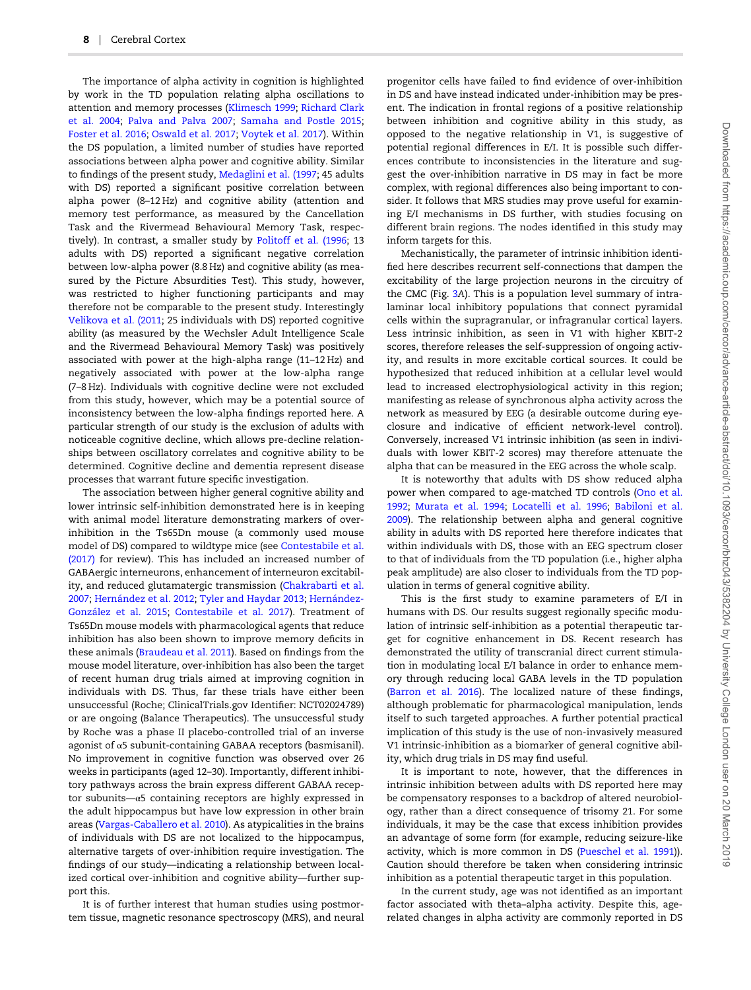The importance of alpha activity in cognition is highlighted by work in the TD population relating alpha oscillations to attention and memory processes ([Klimesch 1999;](#page-10-0) [Richard Clark](#page-11-0) [et al. 2004](#page-11-0); [Palva and Palva 2007](#page-10-0); [Samaha and Postle 2015;](#page-11-0) [Foster et al. 2016;](#page-9-0) [Oswald et al. 2017;](#page-10-0) [Voytek et al. 2017\)](#page-11-0). Within the DS population, a limited number of studies have reported associations between alpha power and cognitive ability. Similar to findings of the present study, [Medaglini et al. \(1997;](#page-10-0) 45 adults with DS) reported a significant positive correlation between alpha power (8–12 Hz) and cognitive ability (attention and memory test performance, as measured by the Cancellation Task and the Rivermead Behavioural Memory Task, respectively). In contrast, a smaller study by [Politoff et al. \(1996](#page-10-0); 13 adults with DS) reported a significant negative correlation between low-alpha power (8.8 Hz) and cognitive ability (as measured by the Picture Absurdities Test). This study, however, was restricted to higher functioning participants and may therefore not be comparable to the present study. Interestingly [Velikova et al. \(2011;](#page-11-0) 25 individuals with DS) reported cognitive ability (as measured by the Wechsler Adult Intelligence Scale and the Rivermead Behavioural Memory Task) was positively associated with power at the high-alpha range (11–12 Hz) and negatively associated with power at the low-alpha range (7–8 Hz). Individuals with cognitive decline were not excluded from this study, however, which may be a potential source of inconsistency between the low-alpha findings reported here. A particular strength of our study is the exclusion of adults with noticeable cognitive decline, which allows pre-decline relationships between oscillatory correlates and cognitive ability to be determined. Cognitive decline and dementia represent disease processes that warrant future specific investigation.

The association between higher general cognitive ability and lower intrinsic self-inhibition demonstrated here is in keeping with animal model literature demonstrating markers of overinhibition in the Ts65Dn mouse (a commonly used mouse model of DS) compared to wildtype mice (see [Contestabile et al.](#page-9-0) [\(2017\)](#page-9-0) for review). This has included an increased number of GABAergic interneurons, enhancement of interneuron excitability, and reduced glutamatergic transmission ([Chakrabarti et al.](#page-9-0) [2007;](#page-9-0) [Hernández et al. 2012;](#page-10-0) [Tyler and Haydar 2013;](#page-11-0) [Hernández-](#page-10-0)[González et al. 2015](#page-10-0); [Contestabile et al. 2017](#page-9-0)). Treatment of Ts65Dn mouse models with pharmacological agents that reduce inhibition has also been shown to improve memory deficits in these animals ([Braudeau et al. 2011](#page-9-0)). Based on findings from the mouse model literature, over-inhibition has also been the target of recent human drug trials aimed at improving cognition in individuals with DS. Thus, far these trials have either been unsuccessful (Roche; ClinicalTrials.gov Identifier: NCT02024789) or are ongoing (Balance Therapeutics). The unsuccessful study by Roche was a phase II placebo-controlled trial of an inverse agonist of α5 subunit-containing GABAA receptors (basmisanil). No improvement in cognitive function was observed over 26 weeks in participants (aged 12–30). Importantly, different inhibitory pathways across the brain express different GABAA receptor subunits—α5 containing receptors are highly expressed in the adult hippocampus but have low expression in other brain areas ([Vargas-Caballero et al. 2010](#page-11-0)). As atypicalities in the brains of individuals with DS are not localized to the hippocampus, alternative targets of over-inhibition require investigation. The findings of our study—indicating a relationship between localized cortical over-inhibition and cognitive ability—further support this.

It is of further interest that human studies using postmortem tissue, magnetic resonance spectroscopy (MRS), and neural

progenitor cells have failed to find evidence of over-inhibition in DS and have instead indicated under-inhibition may be present. The indication in frontal regions of a positive relationship between inhibition and cognitive ability in this study, as opposed to the negative relationship in V1, is suggestive of potential regional differences in E/I. It is possible such differences contribute to inconsistencies in the literature and suggest the over-inhibition narrative in DS may in fact be more complex, with regional differences also being important to consider. It follows that MRS studies may prove useful for examining E/I mechanisms in DS further, with studies focusing on different brain regions. The nodes identified in this study may inform targets for this.

Mechanistically, the parameter of intrinsic inhibition identified here describes recurrent self-connections that dampen the excitability of the large projection neurons in the circuitry of the CMC (Fig. [3](#page-5-0)A). This is a population level summary of intralaminar local inhibitory populations that connect pyramidal cells within the supragranular, or infragranular cortical layers. Less intrinsic inhibition, as seen in V1 with higher KBIT-2 scores, therefore releases the self-suppression of ongoing activity, and results in more excitable cortical sources. It could be hypothesized that reduced inhibition at a cellular level would lead to increased electrophysiological activity in this region; manifesting as release of synchronous alpha activity across the network as measured by EEG (a desirable outcome during eyeclosure and indicative of efficient network-level control). Conversely, increased V1 intrinsic inhibition (as seen in individuals with lower KBIT-2 scores) may therefore attenuate the alpha that can be measured in the EEG across the whole scalp.

It is noteworthy that adults with DS show reduced alpha power when compared to age-matched TD controls ([Ono et al.](#page-10-0) [1992;](#page-10-0) [Murata et al. 1994](#page-10-0); [Locatelli et al. 1996](#page-10-0); [Babiloni et al.](#page-9-0) [2009\)](#page-9-0). The relationship between alpha and general cognitive ability in adults with DS reported here therefore indicates that within individuals with DS, those with an EEG spectrum closer to that of individuals from the TD population (i.e., higher alpha peak amplitude) are also closer to individuals from the TD population in terms of general cognitive ability.

This is the first study to examine parameters of E/I in humans with DS. Our results suggest regionally specific modulation of intrinsic self-inhibition as a potential therapeutic target for cognitive enhancement in DS. Recent research has demonstrated the utility of transcranial direct current stimulation in modulating local E/I balance in order to enhance memory through reducing local GABA levels in the TD population [\(Barron et al. 2016\)](#page-9-0). The localized nature of these findings, although problematic for pharmacological manipulation, lends itself to such targeted approaches. A further potential practical implication of this study is the use of non-invasively measured V1 intrinsic-inhibition as a biomarker of general cognitive ability, which drug trials in DS may find useful.

It is important to note, however, that the differences in intrinsic inhibition between adults with DS reported here may be compensatory responses to a backdrop of altered neurobiology, rather than a direct consequence of trisomy 21. For some individuals, it may be the case that excess inhibition provides an advantage of some form (for example, reducing seizure-like activity, which is more common in DS ([Pueschel et al. 1991](#page-10-0))). Caution should therefore be taken when considering intrinsic inhibition as a potential therapeutic target in this population.

In the current study, age was not identified as an important factor associated with theta–alpha activity. Despite this, agerelated changes in alpha activity are commonly reported in DS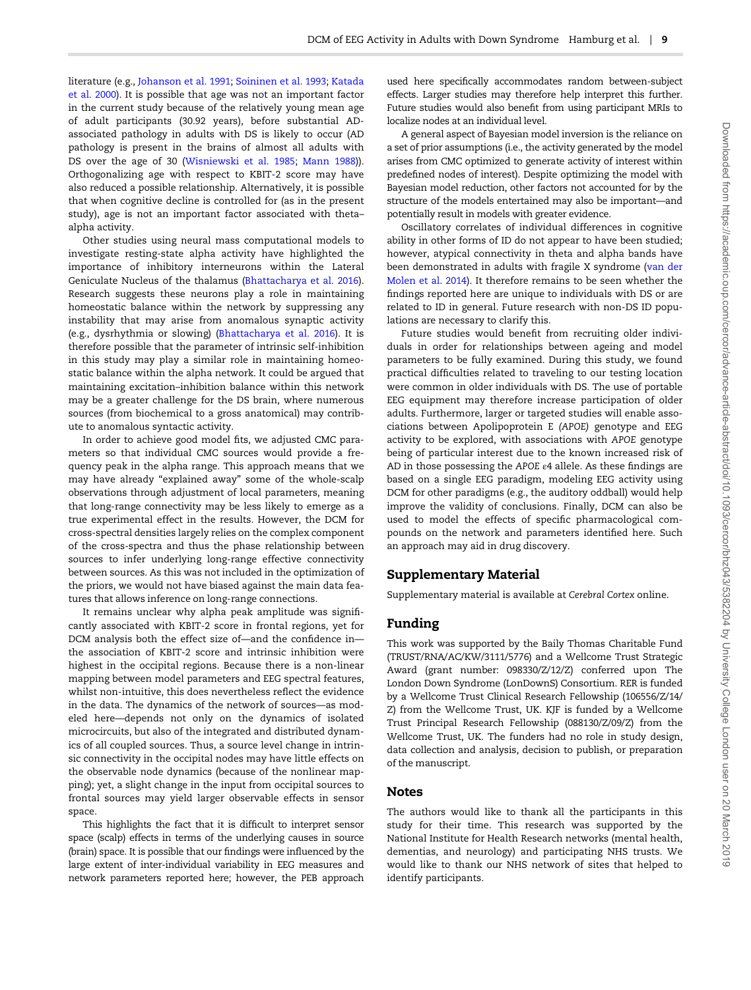literature (e.g., [Johanson et al. 1991](#page-10-0); [Soininen et al. 1993](#page-11-0); [Katada](#page-10-0) [et al. 2000\)](#page-10-0). It is possible that age was not an important factor in the current study because of the relatively young mean age of adult participants (30.92 years), before substantial ADassociated pathology in adults with DS is likely to occur (AD pathology is present in the brains of almost all adults with DS over the age of 30 ([Wisniewski et al. 1985](#page-11-0); [Mann 1988](#page-10-0))). Orthogonalizing age with respect to KBIT-2 score may have also reduced a possible relationship. Alternatively, it is possible that when cognitive decline is controlled for (as in the present study), age is not an important factor associated with theta– alpha activity.

Other studies using neural mass computational models to investigate resting-state alpha activity have highlighted the importance of inhibitory interneurons within the Lateral Geniculate Nucleus of the thalamus ([Bhattacharya et al. 2016\)](#page-9-0). Research suggests these neurons play a role in maintaining homeostatic balance within the network by suppressing any instability that may arise from anomalous synaptic activity (e.g., dysrhythmia or slowing) [\(Bhattacharya et al. 2016\)](#page-9-0). It is therefore possible that the parameter of intrinsic self-inhibition in this study may play a similar role in maintaining homeostatic balance within the alpha network. It could be argued that maintaining excitation–inhibition balance within this network may be a greater challenge for the DS brain, where numerous sources (from biochemical to a gross anatomical) may contribute to anomalous syntactic activity.

In order to achieve good model fits, we adjusted CMC parameters so that individual CMC sources would provide a frequency peak in the alpha range. This approach means that we may have already "explained away" some of the whole-scalp observations through adjustment of local parameters, meaning that long-range connectivity may be less likely to emerge as a true experimental effect in the results. However, the DCM for cross-spectral densities largely relies on the complex component of the cross-spectra and thus the phase relationship between sources to infer underlying long-range effective connectivity between sources. As this was not included in the optimization of the priors, we would not have biased against the main data features that allows inference on long-range connections.

It remains unclear why alpha peak amplitude was significantly associated with KBIT-2 score in frontal regions, yet for DCM analysis both the effect size of—and the confidence in the association of KBIT-2 score and intrinsic inhibition were highest in the occipital regions. Because there is a non-linear mapping between model parameters and EEG spectral features, whilst non-intuitive, this does nevertheless reflect the evidence in the data. The dynamics of the network of sources—as modeled here—depends not only on the dynamics of isolated microcircuits, but also of the integrated and distributed dynamics of all coupled sources. Thus, a source level change in intrinsic connectivity in the occipital nodes may have little effects on the observable node dynamics (because of the nonlinear mapping); yet, a slight change in the input from occipital sources to frontal sources may yield larger observable effects in sensor space.

This highlights the fact that it is difficult to interpret sensor space (scalp) effects in terms of the underlying causes in source (brain) space. It is possible that our findings were influenced by the large extent of inter-individual variability in EEG measures and network parameters reported here; however, the PEB approach

used here specifically accommodates random between-subject effects. Larger studies may therefore help interpret this further. Future studies would also benefit from using participant MRIs to localize nodes at an individual level.

A general aspect of Bayesian model inversion is the reliance on a set of prior assumptions (i.e., the activity generated by the model arises from CMC optimized to generate activity of interest within predefined nodes of interest). Despite optimizing the model with Bayesian model reduction, other factors not accounted for by the structure of the models entertained may also be important—and potentially result in models with greater evidence.

Oscillatory correlates of individual differences in cognitive ability in other forms of ID do not appear to have been studied; however, atypical connectivity in theta and alpha bands have been demonstrated in adults with fragile X syndrome ([van der](#page-11-0) [Molen et al. 2014](#page-11-0)). It therefore remains to be seen whether the findings reported here are unique to individuals with DS or are related to ID in general. Future research with non-DS ID populations are necessary to clarify this.

Future studies would benefit from recruiting older individuals in order for relationships between ageing and model parameters to be fully examined. During this study, we found practical difficulties related to traveling to our testing location were common in older individuals with DS. The use of portable EEG equipment may therefore increase participation of older adults. Furthermore, larger or targeted studies will enable associations between Apolipoprotein E (APOE) genotype and EEG activity to be explored, with associations with APOE genotype being of particular interest due to the known increased risk of AD in those possessing the APOE <sup>ε</sup>4 allele. As these findings are based on a single EEG paradigm, modeling EEG activity using DCM for other paradigms (e.g., the auditory oddball) would help improve the validity of conclusions. Finally, DCM can also be used to model the effects of specific pharmacological compounds on the network and parameters identified here. Such an approach may aid in drug discovery.

## Supplementary Material

Supplementary material is available at Cerebral Cortex online.

## Funding

This work was supported by the Baily Thomas Charitable Fund (TRUST/RNA/AC/KW/3111/5776) and a Wellcome Trust Strategic Award (grant number: 098330/Z/12/Z) conferred upon The London Down Syndrome (LonDownS) Consortium. RER is funded by a Wellcome Trust Clinical Research Fellowship (106556/Z/14/ Z) from the Wellcome Trust, UK. KJF is funded by a Wellcome Trust Principal Research Fellowship (088130/Z/09/Z) from the Wellcome Trust, UK. The funders had no role in study design, data collection and analysis, decision to publish, or preparation of the manuscript.

## Notes

The authors would like to thank all the participants in this study for their time. This research was supported by the National Institute for Health Research networks (mental health, dementias, and neurology) and participating NHS trusts. We would like to thank our NHS network of sites that helped to identify participants.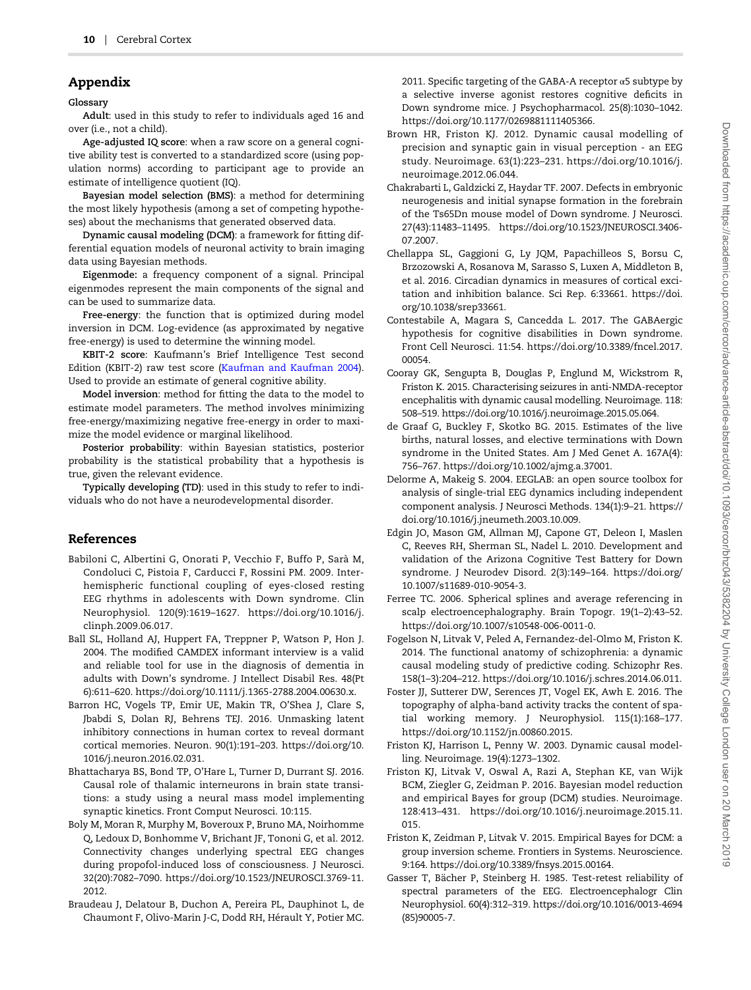# <span id="page-9-0"></span>Appendix

Glossary

Adult: used in this study to refer to individuals aged 16 and over (i.e., not a child).

Age-adjusted IQ score: when a raw score on a general cognitive ability test is converted to a standardized score (using population norms) according to participant age to provide an estimate of intelligence quotient (IQ).

Bayesian model selection (BMS): a method for determining the most likely hypothesis (among a set of competing hypotheses) about the mechanisms that generated observed data.

Dynamic causal modeling (DCM): a framework for fitting differential equation models of neuronal activity to brain imaging data using Bayesian methods.

Eigenmode: a frequency component of a signal. Principal eigenmodes represent the main components of the signal and can be used to summarize data.

Free-energy: the function that is optimized during model inversion in DCM. Log-evidence (as approximated by negative free-energy) is used to determine the winning model.

KBIT-2 score: Kaufmann's Brief Intelligence Test second Edition (KBIT-2) raw test score [\(Kaufman and Kaufman 2004\)](#page-10-0). Used to provide an estimate of general cognitive ability.

Model inversion: method for fitting the data to the model to estimate model parameters. The method involves minimizing free-energy/maximizing negative free-energy in order to maximize the model evidence or marginal likelihood.

Posterior probability: within Bayesian statistics, posterior probability is the statistical probability that a hypothesis is true, given the relevant evidence.

Typically developing (TD): used in this study to refer to individuals who do not have a neurodevelopmental disorder.

# References

- Babiloni C, Albertini G, Onorati P, Vecchio F, Buffo P, Sarà M, Condoluci C, Pistoia F, Carducci F, Rossini PM. 2009. Interhemispheric functional coupling of eyes-closed resting EEG rhythms in adolescents with Down syndrome. Clin Neurophysiol. 120(9):1619–1627. [https://doi.org/10.1016/j.](http://dx.doi.org/https://doi.org/10.1016/j.clinph.2009.06.017) [clinph.2009.06.017.](http://dx.doi.org/https://doi.org/10.1016/j.clinph.2009.06.017)
- Ball SL, Holland AJ, Huppert FA, Treppner P, Watson P, Hon J. 2004. The modified CAMDEX informant interview is a valid and reliable tool for use in the diagnosis of dementia in adults with Down's syndrome. J Intellect Disabil Res. 48(Pt 6):611–620. [https://doi.org/10.1111/j.1365-2788.2004.00630.x](http://dx.doi.org/https://doi.org/10.1111/j.1365-2788.2004.00630.x).
- Barron HC, Vogels TP, Emir UE, Makin TR, O'Shea J, Clare S, Jbabdi S, Dolan RJ, Behrens TEJ. 2016. Unmasking latent inhibitory connections in human cortex to reveal dormant cortical memories. Neuron. 90(1):191–203. [https://doi.org/10.](http://dx.doi.org/https://doi.org/10.1016/j.neuron.2016.02.031) [1016/j.neuron.2016.02.031.](http://dx.doi.org/https://doi.org/10.1016/j.neuron.2016.02.031)
- Bhattacharya BS, Bond TP, O'Hare L, Turner D, Durrant SJ. 2016. Causal role of thalamic interneurons in brain state transitions: a study using a neural mass model implementing synaptic kinetics. Front Comput Neurosci. 10:115.
- Boly M, Moran R, Murphy M, Boveroux P, Bruno MA, Noirhomme Q, Ledoux D, Bonhomme V, Brichant JF, Tononi G, et al. 2012. Connectivity changes underlying spectral EEG changes during propofol-induced loss of consciousness. J Neurosci. 32(20):7082–7090. [https://doi.org/10.1523/JNEUROSCI.3769-11.](http://dx.doi.org/https://doi.org/10.1523/JNEUROSCI.3769-11.2012) [2012.](http://dx.doi.org/https://doi.org/10.1523/JNEUROSCI.3769-11.2012)
- Braudeau J, Delatour B, Duchon A, Pereira PL, Dauphinot L, de Chaumont F, Olivo-Marin J-C, Dodd RH, Hérault Y, Potier MC.

2011. Specific targeting of the GABA-A receptor  $\alpha$ 5 subtype by a selective inverse agonist restores cognitive deficits in Down syndrome mice. J Psychopharmacol. 25(8):1030–1042. [https://doi.org/10.1177/0269881111405366.](http://dx.doi.org/https://doi.org/10.1177/0269881111405366)

- Brown HR, Friston KJ. 2012. Dynamic causal modelling of precision and synaptic gain in visual perception - an EEG study. Neuroimage. 63(1):223–231. [https://doi.org/10.1016/j.](http://dx.doi.org/https://doi.org/10.1016/j.neuroimage.2012.06.044) [neuroimage.2012.06.044](http://dx.doi.org/https://doi.org/10.1016/j.neuroimage.2012.06.044).
- Chakrabarti L, Galdzicki Z, Haydar TF. 2007. Defects in embryonic neurogenesis and initial synapse formation in the forebrain of the Ts65Dn mouse model of Down syndrome. J Neurosci. 27(43):11483–11495. [https://doi.org/10.1523/JNEUROSCI.3406-](http://dx.doi.org/https://doi.org/10.1523/JNEUROSCI.3406-07.2007) [07.2007.](http://dx.doi.org/https://doi.org/10.1523/JNEUROSCI.3406-07.2007)
- Chellappa SL, Gaggioni G, Ly JQM, Papachilleos S, Borsu C, Brzozowski A, Rosanova M, Sarasso S, Luxen A, Middleton B, et al. 2016. Circadian dynamics in measures of cortical excitation and inhibition balance. Sci Rep. 6:33661. [https://doi.](http://dx.doi.org/https://doi.org/10.1038/srep33661) [org/10.1038/srep33661.](http://dx.doi.org/https://doi.org/10.1038/srep33661)
- Contestabile A, Magara S, Cancedda L. 2017. The GABAergic hypothesis for cognitive disabilities in Down syndrome. Front Cell Neurosci. 11:54. [https://doi.org/10.3389/fncel.2017.](http://dx.doi.org/https://doi.org/10.3389/fncel.2017.00054) [00054.](http://dx.doi.org/https://doi.org/10.3389/fncel.2017.00054)
- Cooray GK, Sengupta B, Douglas P, Englund M, Wickstrom R, Friston K. 2015. Characterising seizures in anti-NMDA-receptor encephalitis with dynamic causal modelling. Neuroimage. 118: 508–519. [https://doi.org/10.1016/j.neuroimage.2015.05.064](http://dx.doi.org/https://doi.org/10.1016/j.neuroimage.2015.05.064).
- de Graaf G, Buckley F, Skotko BG. 2015. Estimates of the live births, natural losses, and elective terminations with Down syndrome in the United States. Am J Med Genet A. 167A(4): 756–767. [https://doi.org/10.1002/ajmg.a.37001.](http://dx.doi.org/https://doi.org/10.1002/ajmg.a.37001)
- Delorme A, Makeig S. 2004. EEGLAB: an open source toolbox for analysis of single-trial EEG dynamics including independent component analysis. J Neurosci Methods. 134(1):9–21. [https://](http://dx.doi.org/https://doi.org/10.1016/j.jneumeth.2003.10.009) [doi.org/10.1016/j.jneumeth.2003.10.009](http://dx.doi.org/https://doi.org/10.1016/j.jneumeth.2003.10.009).
- Edgin JO, Mason GM, Allman MJ, Capone GT, Deleon I, Maslen C, Reeves RH, Sherman SL, Nadel L. 2010. Development and validation of the Arizona Cognitive Test Battery for Down syndrome. J Neurodev Disord. 2(3):149–164. [https://doi.org/](http://dx.doi.org/https://doi.org/10.1007/s11689-010-9054-3) [10.1007/s11689-010-9054-3](http://dx.doi.org/https://doi.org/10.1007/s11689-010-9054-3).
- Ferree TC. 2006. Spherical splines and average referencing in scalp electroencephalography. Brain Topogr. 19(1–2):43–52. [https://doi.org/10.1007/s10548-006-0011-0](http://dx.doi.org/https://doi.org/10.1007/s10548-006-0011-0).
- Fogelson N, Litvak V, Peled A, Fernandez-del-Olmo M, Friston K. 2014. The functional anatomy of schizophrenia: a dynamic causal modeling study of predictive coding. Schizophr Res. 158(1–3):204–212. [https://doi.org/10.1016/j.schres.2014.06.011.](http://dx.doi.org/https://doi.org/10.1016/j.schres.2014.06.011)
- Foster JJ, Sutterer DW, Serences JT, Vogel EK, Awh E. 2016. The topography of alpha-band activity tracks the content of spatial working memory. J Neurophysiol. 115(1):168–177. [https://doi.org/10.1152/jn.00860.2015](http://dx.doi.org/https://doi.org/10.1152/jn.00860.2015).
- Friston KJ, Harrison L, Penny W. 2003. Dynamic causal modelling. Neuroimage. 19(4):1273–1302.
- Friston KJ, Litvak V, Oswal A, Razi A, Stephan KE, van Wijk BCM, Ziegler G, Zeidman P. 2016. Bayesian model reduction and empirical Bayes for group (DCM) studies. Neuroimage. 128:413–431. [https://doi.org/10.1016/j.neuroimage.2015.11.](http://dx.doi.org/https://doi.org/10.1016/j.neuroimage.2015.11.015) [015.](http://dx.doi.org/https://doi.org/10.1016/j.neuroimage.2015.11.015)
- Friston K, Zeidman P, Litvak V. 2015. Empirical Bayes for DCM: a group inversion scheme. Frontiers in Systems. Neuroscience. 9:164. [https://doi.org/10.3389/fnsys.2015.00164.](http://dx.doi.org/https://doi.org/10.3389/fnsys.2015.00164)
- Gasser T, Bächer P, Steinberg H. 1985. Test-retest reliability of spectral parameters of the EEG. Electroencephalogr Clin Neurophysiol. 60(4):312–319. [https://doi.org/10.1016/0013-4694](http://dx.doi.org/https://doi.org/10.1016/0013-4694(85)90005-7) [\(85\)90005-7](http://dx.doi.org/https://doi.org/10.1016/0013-4694(85)90005-7).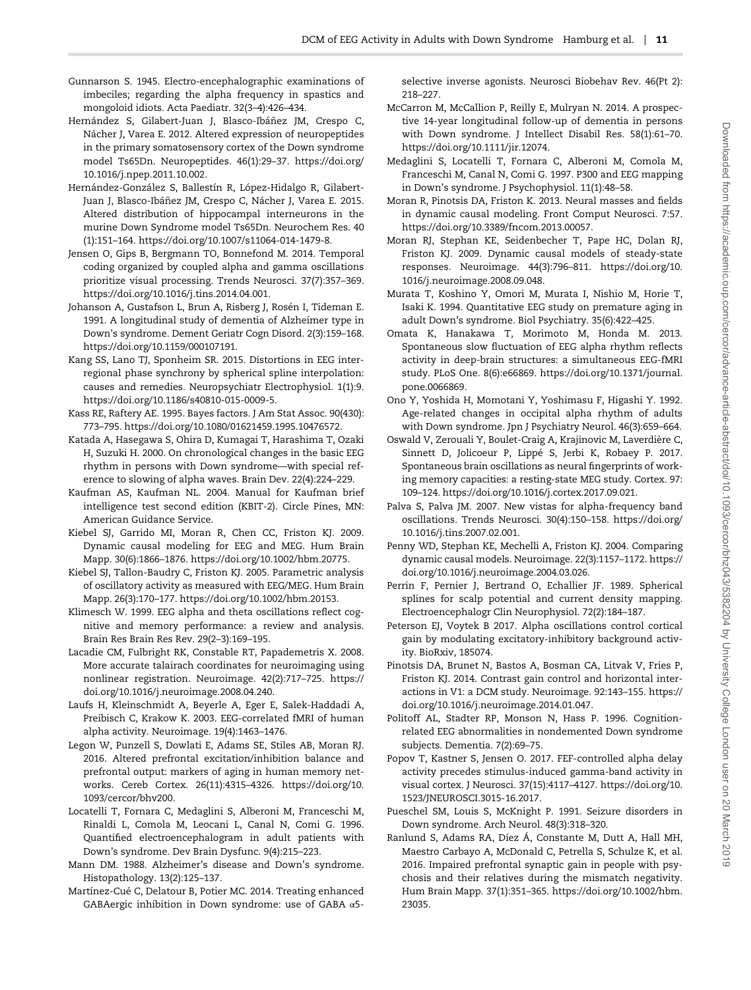- <span id="page-10-0"></span>Gunnarson S. 1945. Electro-encephalographic examinations of imbeciles; regarding the alpha frequency in spastics and mongoloid idiots. Acta Paediatr. 32(3–4):426–434.
- Hernández S, Gilabert-Juan J, Blasco-Ibáñez JM, Crespo C, Nácher J, Varea E. 2012. Altered expression of neuropeptides in the primary somatosensory cortex of the Down syndrome model Ts65Dn. Neuropeptides. 46(1):29–37. [https://doi.org/](http://dx.doi.org/https://doi.org/10.1016/j.npep.2011.10.002) [10.1016/j.npep.2011.10.002.](http://dx.doi.org/https://doi.org/10.1016/j.npep.2011.10.002)
- Hernández-González S, Ballestín R, López-Hidalgo R, Gilabert-Juan J, Blasco-Ibáñez JM, Crespo C, Nácher J, Varea E. 2015. Altered distribution of hippocampal interneurons in the murine Down Syndrome model Ts65Dn. Neurochem Res. 40 (1):151–164. [https://doi.org/10.1007/s11064-014-1479-8.](http://dx.doi.org/https://doi.org/10.1007/s11064-014-1479-8)
- Jensen O, Gips B, Bergmann TO, Bonnefond M. 2014. Temporal coding organized by coupled alpha and gamma oscillations prioritize visual processing. Trends Neurosci. 37(7):357–369. [https://doi.org/10.1016/j.tins.2014.04.001](http://dx.doi.org/https://doi.org/10.1016/j.tins.2014.04.001).
- Johanson A, Gustafson L, Brun A, Risberg J, Rosén I, Tideman E. 1991. A longitudinal study of dementia of Alzheimer type in Down's syndrome. Dement Geriatr Cogn Disord. 2(3):159–168. [https://doi.org/10.1159/000107191](http://dx.doi.org/https://doi.org/10.1159/000107191).
- Kang SS, Lano TJ, Sponheim SR. 2015. Distortions in EEG interregional phase synchrony by spherical spline interpolation: causes and remedies. Neuropsychiatr Electrophysiol. 1(1):9. [https://doi.org/10.1186/s40810-015-0009-5](http://dx.doi.org/https://doi.org/10.1186/s40810-015-0009-5).
- Kass RE, Raftery AE. 1995. Bayes factors. J Am Stat Assoc. 90(430): 773–795. [https://doi.org/10.1080/01621459.1995.10476572.](http://dx.doi.org/https://doi.org/10.1080/01621459.1995.10476572)
- Katada A, Hasegawa S, Ohira D, Kumagai T, Harashima T, Ozaki H, Suzuki H. 2000. On chronological changes in the basic EEG rhythm in persons with Down syndrome—with special reference to slowing of alpha waves. Brain Dev. 22(4):224–229.
- Kaufman AS, Kaufman NL. 2004. Manual for Kaufman brief intelligence test second edition (KBIT-2). Circle Pines, MN: American Guidance Service.
- Kiebel SJ, Garrido MI, Moran R, Chen CC, Friston KJ. 2009. Dynamic causal modeling for EEG and MEG. Hum Brain Mapp. 30(6):1866–1876. [https://doi.org/10.1002/hbm.20775.](http://dx.doi.org/https://doi.org/10.1002/hbm.20775)
- Kiebel SJ, Tallon-Baudry C, Friston KJ. 2005. Parametric analysis of oscillatory activity as measured with EEG/MEG. Hum Brain Mapp. 26(3):170–177. [https://doi.org/10.1002/hbm.20153](http://dx.doi.org/https://doi.org/10.1002/hbm.20153).
- Klimesch W. 1999. EEG alpha and theta oscillations reflect cognitive and memory performance: a review and analysis. Brain Res Brain Res Rev. 29(2–3):169–195.
- Lacadie CM, Fulbright RK, Constable RT, Papademetris X. 2008. More accurate talairach coordinates for neuroimaging using nonlinear registration. Neuroimage. 42(2):717–725. [https://](http://dx.doi.org/https://doi.org/10.1016/j.neuroimage.2008.04.240) [doi.org/10.1016/j.neuroimage.2008.04.240](http://dx.doi.org/https://doi.org/10.1016/j.neuroimage.2008.04.240).
- Laufs H, Kleinschmidt A, Beyerle A, Eger E, Salek-Haddadi A, Preibisch C, Krakow K. 2003. EEG-correlated fMRI of human alpha activity. Neuroimage. 19(4):1463–1476.
- Legon W, Punzell S, Dowlati E, Adams SE, Stiles AB, Moran RJ. 2016. Altered prefrontal excitation/inhibition balance and prefrontal output: markers of aging in human memory networks. Cereb Cortex. 26(11):4315–4326. [https://doi.org/10.](http://dx.doi.org/https://doi.org/10.1093/cercor/bhv200) [1093/cercor/bhv200.](http://dx.doi.org/https://doi.org/10.1093/cercor/bhv200)
- Locatelli T, Fornara C, Medaglini S, Alberoni M, Franceschi M, Rinaldi L, Comola M, Leocani L, Canal N, Comi G. 1996. Quantified electroencephalogram in adult patients with Down's syndrome. Dev Brain Dysfunc. 9(4):215–223.
- Mann DM. 1988. Alzheimer's disease and Down's syndrome. Histopathology. 13(2):125–137.
- Martínez-Cué C, Delatour B, Potier MC. 2014. Treating enhanced GABAergic inhibition in Down syndrome: use of GABA α5-

selective inverse agonists. Neurosci Biobehav Rev. 46(Pt 2): 218–227.

- McCarron M, McCallion P, Reilly E, Mulryan N. 2014. A prospective 14-year longitudinal follow-up of dementia in persons with Down syndrome. J Intellect Disabil Res. 58(1):61–70. [https://doi.org/10.1111/jir.12074.](http://dx.doi.org/https://doi.org/10.1111/jir.12074)
- Medaglini S, Locatelli T, Fornara C, Alberoni M, Comola M, Franceschi M, Canal N, Comi G. 1997. P300 and EEG mapping in Down's syndrome. J Psychophysiol. 11(1):48–58.
- Moran R, Pinotsis DA, Friston K. 2013. Neural masses and fields in dynamic causal modeling. Front Comput Neurosci. 7:57. [https://doi.org/10.3389/fncom.2013.00057](http://dx.doi.org/https://doi.org/10.3389/fncom.2013.00057).
- Moran RJ, Stephan KE, Seidenbecher T, Pape HC, Dolan RJ, Friston KJ. 2009. Dynamic causal models of steady-state responses. Neuroimage. 44(3):796–811. [https://doi.org/10.](http://dx.doi.org/https://doi.org/10.1016/j.neuroimage.2008.09.048) [1016/j.neuroimage.2008.09.048](http://dx.doi.org/https://doi.org/10.1016/j.neuroimage.2008.09.048).
- Murata T, Koshino Y, Omori M, Murata I, Nishio M, Horie T, Isaki K. 1994. Quantitative EEG study on premature aging in adult Down's syndrome. Biol Psychiatry. 35(6):422–425.
- Omata K, Hanakawa T, Morimoto M, Honda M. 2013. Spontaneous slow fluctuation of EEG alpha rhythm reflects activity in deep-brain structures: a simultaneous EEG-fMRI study. PLoS One. 8(6):e66869. [https://doi.org/10.1371/journal.](http://dx.doi.org/https://doi.org/10.1371/journal.pone.0066869) [pone.0066869](http://dx.doi.org/https://doi.org/10.1371/journal.pone.0066869).
- Ono Y, Yoshida H, Momotani Y, Yoshimasu F, Higashi Y. 1992. Age-related changes in occipital alpha rhythm of adults with Down syndrome. Jpn J Psychiatry Neurol. 46(3):659–664.
- Oswald V, Zerouali Y, Boulet-Craig A, Krajinovic M, Laverdière C, Sinnett D, Jolicoeur P, Lippé S, Jerbi K, Robaey P. 2017. Spontaneous brain oscillations as neural fingerprints of working memory capacities: a resting-state MEG study. Cortex. 97: 109–124. [https://doi.org/10.1016/j.cortex.2017.09.021](http://dx.doi.org/https://doi.org/10.1016/j.cortex.2017.09.021).
- Palva S, Palva JM. 2007. New vistas for alpha-frequency band oscillations. Trends Neurosci. 30(4):150–158. [https://doi.org/](http://dx.doi.org/https://doi.org/10.1016/j.tins.2007.02.001) [10.1016/j.tins.2007.02.001](http://dx.doi.org/https://doi.org/10.1016/j.tins.2007.02.001).
- Penny WD, Stephan KE, Mechelli A, Friston KJ. 2004. Comparing dynamic causal models. Neuroimage. 22(3):1157–1172. [https://](http://dx.doi.org/https://doi.org/10.1016/j.neuroimage.2004.03.026) [doi.org/10.1016/j.neuroimage.2004.03.026.](http://dx.doi.org/https://doi.org/10.1016/j.neuroimage.2004.03.026)
- Perrin F, Pernier J, Bertrand O, Echallier JF. 1989. Spherical splines for scalp potential and current density mapping. Electroencephalogr Clin Neurophysiol. 72(2):184–187.
- Peterson EJ, Voytek B 2017. Alpha oscillations control cortical gain by modulating excitatory-inhibitory background activity. BioRxiv, 185074.
- Pinotsis DA, Brunet N, Bastos A, Bosman CA, Litvak V, Fries P, Friston KJ. 2014. Contrast gain control and horizontal interactions in V1: a DCM study. Neuroimage. 92:143–155. [https://](http://dx.doi.org/https://doi.org/10.1016/j.neuroimage.2014.01.047) [doi.org/10.1016/j.neuroimage.2014.01.047](http://dx.doi.org/https://doi.org/10.1016/j.neuroimage.2014.01.047).
- Politoff AL, Stadter RP, Monson N, Hass P. 1996. Cognitionrelated EEG abnormalities in nondemented Down syndrome subjects. Dementia. 7(2):69–75.
- Popov T, Kastner S, Jensen O. 2017. FEF-controlled alpha delay activity precedes stimulus-induced gamma-band activity in visual cortex. J Neurosci. 37(15):4117–4127. [https://doi.org/10.](http://dx.doi.org/https://doi.org/10.1523/JNEUROSCI.3015-16.2017) [1523/JNEUROSCI.3015-16.2017.](http://dx.doi.org/https://doi.org/10.1523/JNEUROSCI.3015-16.2017)
- Pueschel SM, Louis S, McKnight P. 1991. Seizure disorders in Down syndrome. Arch Neurol. 48(3):318–320.
- Ranlund S, Adams RA, Díez Á, Constante M, Dutt A, Hall MH, Maestro Carbayo A, McDonald C, Petrella S, Schulze K, et al. 2016. Impaired prefrontal synaptic gain in people with psychosis and their relatives during the mismatch negativity. Hum Brain Mapp. 37(1):351–365. [https://doi.org/10.1002/hbm.](http://dx.doi.org/https://doi.org/10.1002/hbm.23035) [23035.](http://dx.doi.org/https://doi.org/10.1002/hbm.23035)